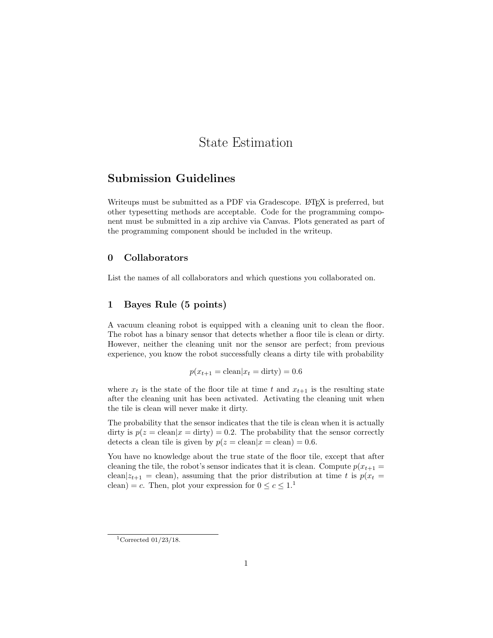# State Estimation

# Submission Guidelines

Writeups must be submitted as a PDF via Gradescope. LAT<sub>EX</sub> is preferred, but other typesetting methods are acceptable. Code for the programming component must be submitted in a zip archive via Canvas. Plots generated as part of the programming component should be included in the writeup.

# 0 Collaborators

List the names of all collaborators and which questions you collaborated on.

## 1 Bayes Rule (5 points)

A vacuum cleaning robot is equipped with a cleaning unit to clean the floor. The robot has a binary sensor that detects whether a floor tile is clean or dirty. However, neither the cleaning unit nor the sensor are perfect; from previous experience, you know the robot successfully cleans a dirty tile with probability

 $p(x_{t+1} = \text{clean}|x_t = \text{dirty}) = 0.6$ 

where  $x_t$  is the state of the floor tile at time t and  $x_{t+1}$  is the resulting state after the cleaning unit has been activated. Activating the cleaning unit when the tile is clean will never make it dirty.

The probability that the sensor indicates that the tile is clean when it is actually dirty is  $p(z = clean|x = dirty) = 0.2$ . The probability that the sensor correctly detects a clean tile is given by  $p(z = \text{clean}|x = \text{clean}) = 0.6$ .

You have no knowledge about the true state of the floor tile, except that after cleaning the tile, the robot's sensor indicates that it is clean. Compute  $p(x_{t+1} =$ clean $|z_{t+1}|$  = clean), assuming that the prior distribution at time t is  $p(x_t)$ clean) = c. Then, plot your expression for  $0 \le c \le 1$ .

<sup>&</sup>lt;sup>1</sup>Corrected  $01/23/18$ .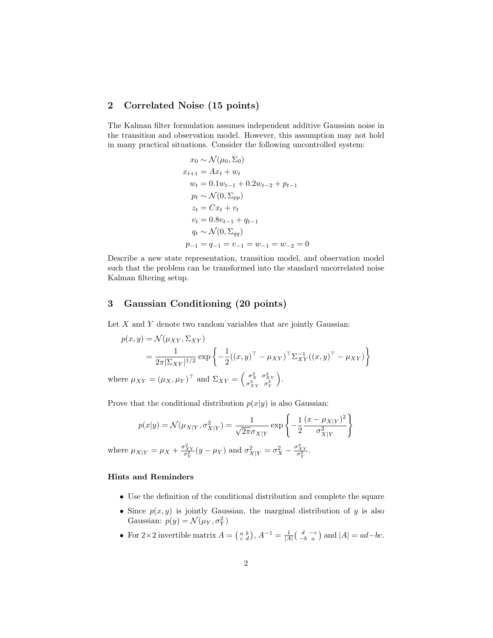# 2 Correlated Noise (15 points)

The Kalman filter formulation assumes independent additive Gaussian noise in the transition and observation model. However, this assumption may not hold in many practical situations. Consider the following uncontrolled system:

$$
x_0 \sim \mathcal{N}(\mu_0, \Sigma_0)
$$
  
\n
$$
x_{t+1} = Ax_t + w_t
$$
  
\n
$$
w_t = 0.1w_{t-1} + 0.2w_{t-2} + p_{t-1}
$$
  
\n
$$
p_t \sim \mathcal{N}(0, \Sigma_{pp})
$$
  
\n
$$
z_t = Cx_t + v_t
$$
  
\n
$$
v_t = 0.8v_{t-1} + q_{t-1}
$$
  
\n
$$
q_t \sim \mathcal{N}(0, \Sigma_{qq})
$$
  
\n
$$
p_{-1} = q_{-1} = v_{-1} = w_{-1} = w_{-2} = 0
$$

Describe a new state representation, transition model, and observation model such that the problem can be transformed into the standard uncorrelated noise Kalman filtering setup.

### 3 Gaussian Conditioning (20 points)

Let  $X$  and  $Y$  denote two random variables that are jointly Gaussian:

$$
p(x,y) = \mathcal{N}(\mu_{XY}, \Sigma_{XY})
$$
  
= 
$$
\frac{1}{2\pi |\Sigma_{XY}|^{1/2}} \exp \left\{-\frac{1}{2}((x,y)^{\top} - \mu_{XY})^{\top} \Sigma_{XY}^{-1}((x,y)^{\top} - \mu_{XY})\right\}
$$
  
where  $\mu_{XY} = (\mu_X, \mu_Y)^{\top}$  and  $\Sigma_{XY} = \begin{pmatrix} \sigma_X^2 & \sigma_{XY}^2 \\ \sigma_{XY}^2 & \sigma_Y^2 \end{pmatrix}$ .

Prove that the conditional distribution  $p(x|y)$  is also Gaussian:

$$
p(x|y) = \mathcal{N}(\mu_{X|Y}, \sigma_{X|Y}^2) = \frac{1}{\sqrt{2\pi}\sigma_{X|Y}} \exp\left\{-\frac{1}{2} \frac{(x - \mu_{X|Y})^2}{\sigma_{X|Y}^2}\right\}
$$

where  $\mu_{X|Y} = \mu_X + \frac{\sigma_{XY}^2}{\sigma_Y^2}(y - \mu_Y)$  and  $\sigma_{X|Y}^2 = \sigma_X^2 - \frac{\sigma_{XY}^4}{\sigma_Y^2}$ .

#### Hints and Reminders

- Use the definition of the conditional distribution and complete the square
- Since  $p(x, y)$  is jointly Gaussian, the marginal distribution of y is also Gaussian:  $p(y) = \mathcal{N}(\mu_Y, \sigma_Y^2)$
- For  $2 \times 2$  invertible matrix  $A = \begin{pmatrix} a & b \\ c & d \end{pmatrix}$ ,  $A^{-1} = \frac{1}{|A|} \begin{pmatrix} d & -c \\ -b & a \end{pmatrix}$  and  $|A| = ad bc$ .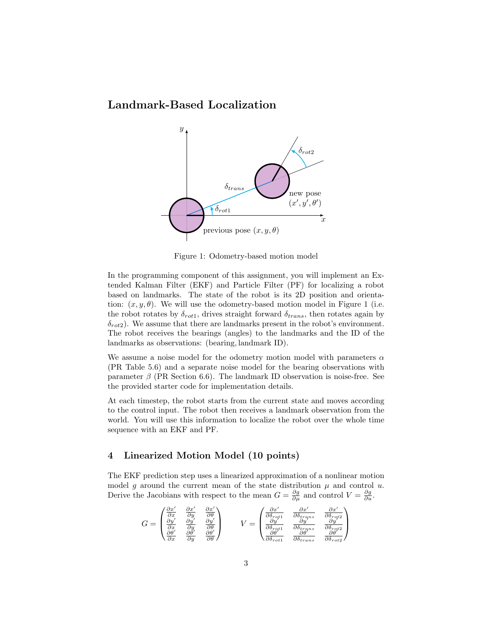Landmark-Based Localization



Figure 1: Odometry-based motion model

In the programming component of this assignment, you will implement an Extended Kalman Filter (EKF) and Particle Filter (PF) for localizing a robot based on landmarks. The state of the robot is its 2D position and orientation:  $(x, y, \theta)$ . We will use the odometry-based motion model in Figure 1 (i.e. the robot rotates by  $\delta_{rot1}$ , drives straight forward  $\delta_{trans}$ , then rotates again by  $\delta_{rot2}$ ). We assume that there are landmarks present in the robot's environment. The robot receives the bearings (angles) to the landmarks and the ID of the landmarks as observations: (bearing, landmark ID).

We assume a noise model for the odometry motion model with parameters  $\alpha$ (PR Table 5.6) and a separate noise model for the bearing observations with parameter  $\beta$  (PR Section 6.6). The landmark ID observation is noise-free. See the provided starter code for implementation details.

At each timestep, the robot starts from the current state and moves according to the control input. The robot then receives a landmark observation from the world. You will use this information to localize the robot over the whole time sequence with an EKF and PF.

#### 4 Linearized Motion Model (10 points)

The EKF prediction step uses a linearized approximation of a nonlinear motion model g around the current mean of the state distribution  $\mu$  and control u. Derive the Jacobians with respect to the mean  $G = \frac{\partial g}{\partial \mu}$  and control  $V = \frac{\partial g}{\partial u}$ .

$$
G = \begin{pmatrix} \frac{\partial x'}{\partial x} & \frac{\partial x'}{\partial y} & \frac{\partial x'}{\partial \theta} \\ \frac{\partial y'}{\partial x} & \frac{\partial y'}{\partial y} & \frac{\partial y'}{\partial \theta} \\ \frac{\partial \theta'}{\partial x} & \frac{\partial \theta'}{\partial y} & \frac{\partial \theta'}{\partial \theta} \end{pmatrix} \qquad V = \begin{pmatrix} \frac{\partial x'}{\partial \delta_{\text{rot1}}} & \frac{\partial x'}{\partial \delta_{\text{tr} \alpha \beta \gamma}} & \frac{\partial x'}{\partial \delta_{\text{rot2}}} \\ \frac{\partial y'}{\partial \delta_{\text{rot2}}} & \frac{\partial y'}{\partial \delta_{\text{tr} \alpha \beta \gamma}} & \frac{\partial y'}{\partial \delta_{\text{rot2}}} \\ \frac{\partial \theta'}{\partial \delta_{\text{rot1}}} & \frac{\partial \theta'}{\partial \delta_{\text{tr} \alpha \beta \gamma}} & \frac{\partial \theta'}{\partial \delta_{\text{rot2}}} \end{pmatrix}
$$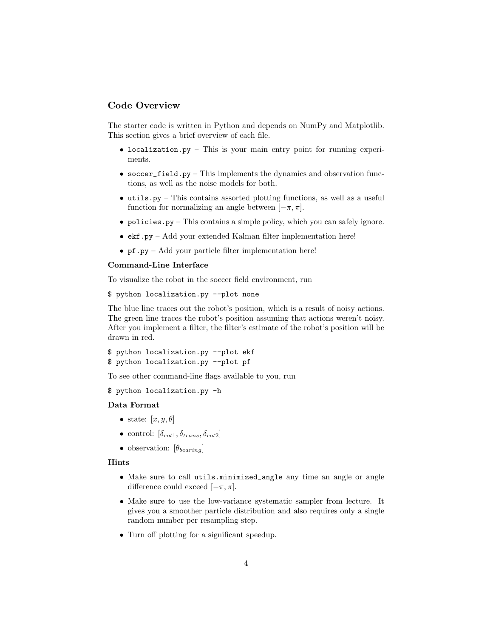# Code Overview

The starter code is written in Python and depends on NumPy and Matplotlib. This section gives a brief overview of each file.

- localization.py This is your main entry point for running experiments.
- soccer\_field.py This implements the dynamics and observation functions, as well as the noise models for both.
- utils.py This contains assorted plotting functions, as well as a useful function for normalizing an angle between  $[-\pi, \pi]$ .
- policies.py This contains a simple policy, which you can safely ignore.
- ekf.py Add your extended Kalman filter implementation here!
- pf.py Add your particle filter implementation here!

#### Command-Line Interface

To visualize the robot in the soccer field environment, run

```
$ python localization.py --plot none
```
The blue line traces out the robot's position, which is a result of noisy actions. The green line traces the robot's position assuming that actions weren't noisy. After you implement a filter, the filter's estimate of the robot's position will be drawn in red.

```
$ python localization.py --plot ekf
$ python localization.py --plot pf
```
To see other command-line flags available to you, run

\$ python localization.py -h

#### Data Format

- state:  $[x, y, \theta]$
- control:  $[\delta_{rot1}, \delta_{trans}, \delta_{rot2}]$
- observation:  $[\theta_{\text{bearing}}]$

#### Hints

- Make sure to call utils.minimized\_angle any time an angle or angle difference could exceed  $[-\pi, \pi]$ .
- Make sure to use the low-variance systematic sampler from lecture. It gives you a smoother particle distribution and also requires only a single random number per resampling step.
- Turn off plotting for a significant speedup.